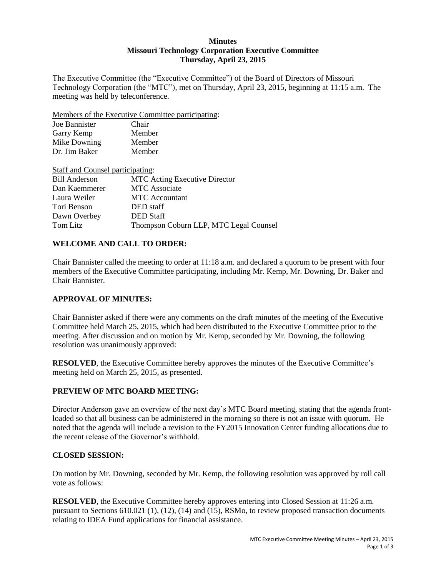### **Minutes Missouri Technology Corporation Executive Committee Thursday, April 23, 2015**

The Executive Committee (the "Executive Committee") of the Board of Directors of Missouri Technology Corporation (the "MTC"), met on Thursday, April 23, 2015, beginning at 11:15 a.m. The meeting was held by teleconference.

Members of the Executive Committee participating:

| Joe Bannister | Chair  |
|---------------|--------|
| Garry Kemp    | Member |
| Mike Downing  | Member |
| Dr. Jim Baker | Member |

| Staff and Counsel participating: |                                        |
|----------------------------------|----------------------------------------|
| <b>Bill Anderson</b>             | <b>MTC</b> Acting Executive Director   |
| Dan Kaemmerer                    | <b>MTC</b> Associate                   |
| Laura Weiler                     | <b>MTC</b> Accountant                  |
| Tori Benson                      | DED staff                              |
| Dawn Overbey                     | <b>DED</b> Staff                       |
| Tom Litz                         | Thompson Coburn LLP, MTC Legal Counsel |

# **WELCOME AND CALL TO ORDER:**

Chair Bannister called the meeting to order at 11:18 a.m. and declared a quorum to be present with four members of the Executive Committee participating, including Mr. Kemp, Mr. Downing, Dr. Baker and Chair Bannister.

# **APPROVAL OF MINUTES:**

Chair Bannister asked if there were any comments on the draft minutes of the meeting of the Executive Committee held March 25, 2015, which had been distributed to the Executive Committee prior to the meeting. After discussion and on motion by Mr. Kemp, seconded by Mr. Downing, the following resolution was unanimously approved:

**RESOLVED**, the Executive Committee hereby approves the minutes of the Executive Committee's meeting held on March 25, 2015, as presented.

# **PREVIEW OF MTC BOARD MEETING:**

Director Anderson gave an overview of the next day's MTC Board meeting, stating that the agenda frontloaded so that all business can be administered in the morning so there is not an issue with quorum. He noted that the agenda will include a revision to the FY2015 Innovation Center funding allocations due to the recent release of the Governor's withhold.

# **CLOSED SESSION:**

On motion by Mr. Downing, seconded by Mr. Kemp, the following resolution was approved by roll call vote as follows:

**RESOLVED**, the Executive Committee hereby approves entering into Closed Session at 11:26 a.m. pursuant to Sections 610.021 (1), (12), (14) and (15), RSMo, to review proposed transaction documents relating to IDEA Fund applications for financial assistance.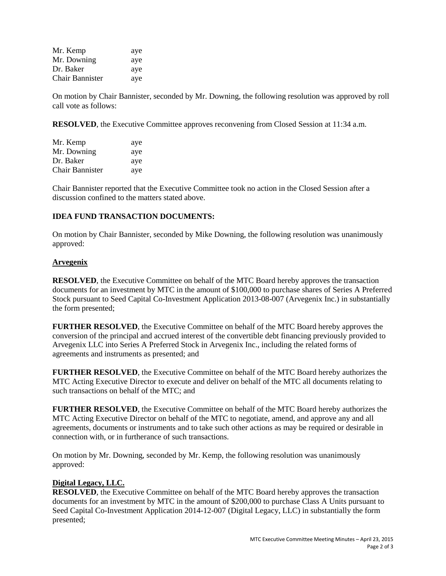| Mr. Kemp        | aye |
|-----------------|-----|
| Mr. Downing     | aye |
| Dr. Baker       | aye |
| Chair Bannister | aye |

On motion by Chair Bannister, seconded by Mr. Downing, the following resolution was approved by roll call vote as follows:

**RESOLVED**, the Executive Committee approves reconvening from Closed Session at 11:34 a.m.

| Mr. Kemp        | aye |
|-----------------|-----|
| Mr. Downing     | aye |
| Dr. Baker       | aye |
| Chair Bannister | aye |

Chair Bannister reported that the Executive Committee took no action in the Closed Session after a discussion confined to the matters stated above.

### **IDEA FUND TRANSACTION DOCUMENTS:**

On motion by Chair Bannister, seconded by Mike Downing, the following resolution was unanimously approved:

### **Arvegenix**

**RESOLVED**, the Executive Committee on behalf of the MTC Board hereby approves the transaction documents for an investment by MTC in the amount of \$100,000 to purchase shares of Series A Preferred Stock pursuant to Seed Capital Co-Investment Application 2013-08-007 (Arvegenix Inc.) in substantially the form presented;

**FURTHER RESOLVED**, the Executive Committee on behalf of the MTC Board hereby approves the conversion of the principal and accrued interest of the convertible debt financing previously provided to Arvegenix LLC into Series A Preferred Stock in Arvegenix Inc., including the related forms of agreements and instruments as presented; and

**FURTHER RESOLVED**, the Executive Committee on behalf of the MTC Board hereby authorizes the MTC Acting Executive Director to execute and deliver on behalf of the MTC all documents relating to such transactions on behalf of the MTC; and

**FURTHER RESOLVED**, the Executive Committee on behalf of the MTC Board hereby authorizes the MTC Acting Executive Director on behalf of the MTC to negotiate, amend, and approve any and all agreements, documents or instruments and to take such other actions as may be required or desirable in connection with, or in furtherance of such transactions.

On motion by Mr. Downing, seconded by Mr. Kemp, the following resolution was unanimously approved:

### **Digital Legacy, LLC.**

**RESOLVED**, the Executive Committee on behalf of the MTC Board hereby approves the transaction documents for an investment by MTC in the amount of \$200,000 to purchase Class A Units pursuant to Seed Capital Co-Investment Application 2014-12-007 (Digital Legacy, LLC) in substantially the form presented;